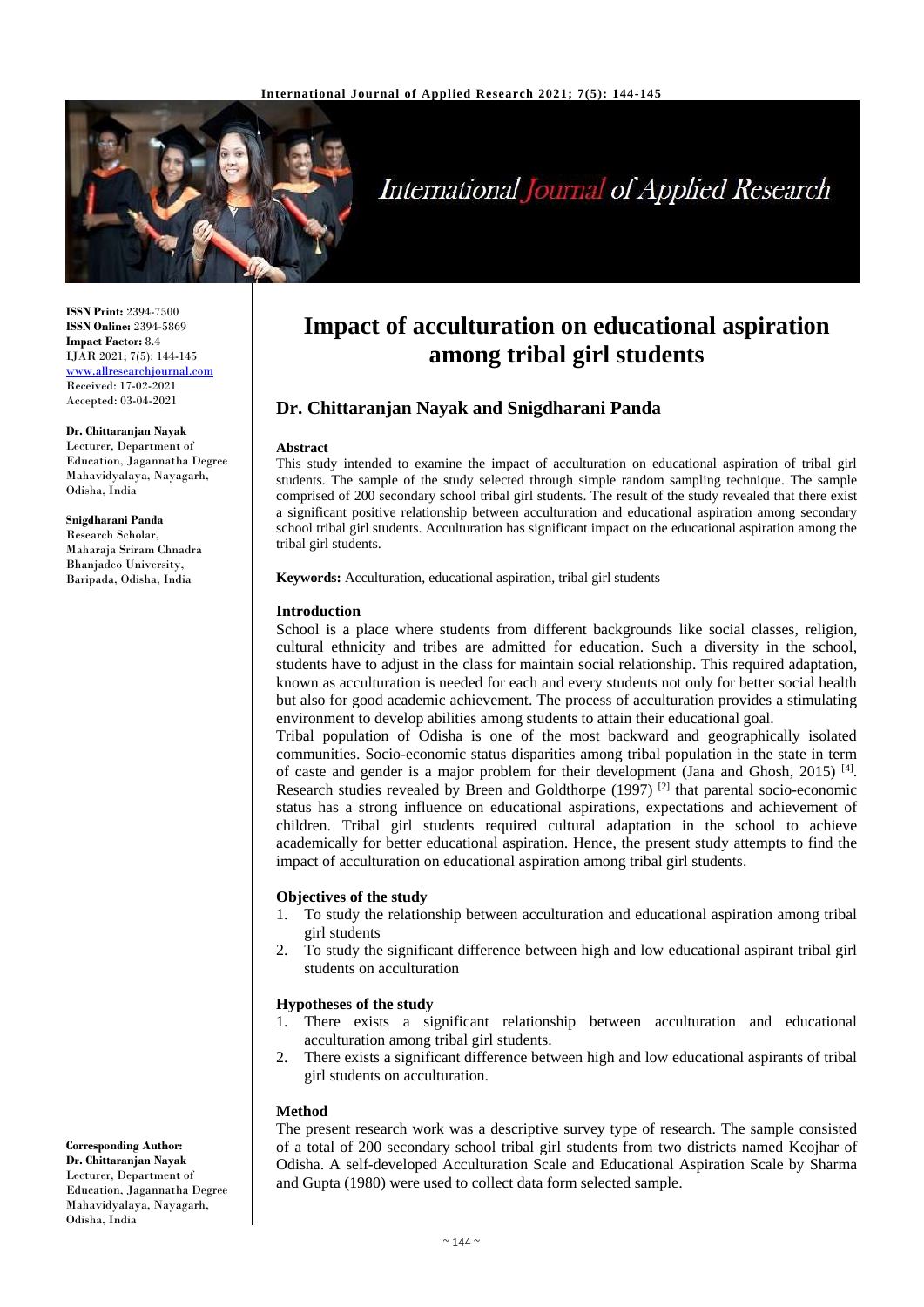

# International Journal of Applied Research

**ISSN Print:** 2394-7500 **ISSN Online:** 2394-5869 **Impact Factor:** 8.4 IJAR 2021; 7(5): 144-145 <www.allresearchjournal.com> Received: 17-02-2021 Accepted: 03-04-2021

**Dr. Chittaranjan Nayak** Lecturer, Department of Education, Jagannatha Degree Mahavidyalaya, Nayagarh, Odisha, India

**Snigdharani Panda** Research Scholar, Maharaja Sriram Chnadra Bhanjadeo University, Baripada, Odisha, India

**Corresponding Author: Dr. Chittaranjan Nayak** Lecturer, Department of Education, Jagannatha Degree Mahavidyalaya, Nayagarh, Odisha, India

## **Impact of acculturation on educational aspiration among tribal girl students**

### **Dr. Chittaranjan Nayak and Snigdharani Panda**

#### **Abstract**

This study intended to examine the impact of acculturation on educational aspiration of tribal girl students. The sample of the study selected through simple random sampling technique. The sample comprised of 200 secondary school tribal girl students. The result of the study revealed that there exist a significant positive relationship between acculturation and educational aspiration among secondary school tribal girl students. Acculturation has significant impact on the educational aspiration among the tribal girl students.

**Keywords:** Acculturation, educational aspiration, tribal girl students

#### **Introduction**

School is a place where students from different backgrounds like social classes, religion, cultural ethnicity and tribes are admitted for education. Such a diversity in the school, students have to adjust in the class for maintain social relationship. This required adaptation, known as acculturation is needed for each and every students not only for better social health but also for good academic achievement. The process of acculturation provides a stimulating environment to develop abilities among students to attain their educational goal.

Tribal population of Odisha is one of the most backward and geographically isolated communities. Socio-economic status disparities among tribal population in the state in term of caste and gender is a major problem for their development (Jana and Ghosh, 2015)<sup>[4]</sup>. Research studies revealed by Breen and Goldthorpe  $(1997)$  <sup>[2]</sup> that parental socio-economic status has a strong influence on educational aspirations, expectations and achievement of children. Tribal girl students required cultural adaptation in the school to achieve academically for better educational aspiration. Hence, the present study attempts to find the impact of acculturation on educational aspiration among tribal girl students.

#### **Objectives of the study**

- 1. To study the relationship between acculturation and educational aspiration among tribal girl students
- 2. To study the significant difference between high and low educational aspirant tribal girl students on acculturation

#### **Hypotheses of the study**

- 1. There exists a significant relationship between acculturation and educational acculturation among tribal girl students.
- 2. There exists a significant difference between high and low educational aspirants of tribal girl students on acculturation.

#### **Method**

The present research work was a descriptive survey type of research. The sample consisted of a total of 200 secondary school tribal girl students from two districts named Keojhar of Odisha. A self-developed Acculturation Scale and Educational Aspiration Scale by Sharma and Gupta (1980) were used to collect data form selected sample.